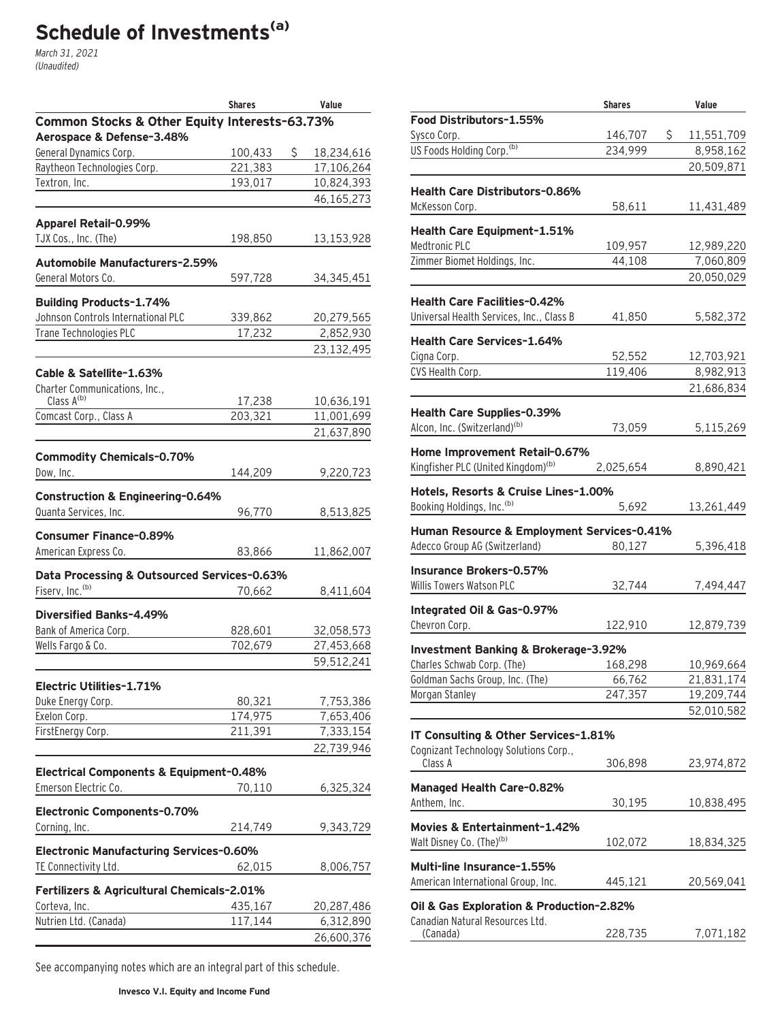# Schedule of Investments<sup>(a)</sup>

March 31, 2021 (Unaudited)

|                                               | <b>Shares</b> | Value            |
|-----------------------------------------------|---------------|------------------|
| Common Stocks & Other Equity Interests-63.73% |               |                  |
| Aerospace & Defense-3.48%                     |               |                  |
| General Dynamics Corp.                        | 100,433       | \$<br>18,234,616 |
| Raytheon Technologies Corp.                   | 221,383       | 17,106,264       |
| Textron, Inc.                                 | 193,017       | 10,824,393       |
|                                               |               | 46,165,273       |
| Apparel Retail-0.99%                          |               |                  |
| TJX Cos., Inc. (The)                          | 198,850       | 13,153,928       |
|                                               |               |                  |
| <b>Automobile Manufacturers-2.59%</b>         |               |                  |
| General Motors Co.                            | 597,728       | 34, 345, 451     |
| <b>Building Products-1.74%</b>                |               |                  |
| Johnson Controls International PLC            | 339,862       | 20,279,565       |
| Trane Technologies PLC                        | 17,232        | 2,852,930        |
|                                               |               | 23,132,495       |
| Cable & Satellite-1.63%                       |               |                  |
| Charter Communications, Inc.,                 |               |                  |
| Class A(b)                                    | 17,238        | 10,636,191       |
| Comcast Corp., Class A                        | 203,321       | 11,001,699       |
|                                               |               | 21,637,890       |
|                                               |               |                  |
| <b>Commodity Chemicals-0.70%</b>              |               |                  |
| Dow, Inc.                                     | 144,209       | 9,220,723        |
| Construction & Engineering-0.64%              |               |                  |
| Quanta Services, Inc.                         | 96,770        | 8,513,825        |
| <b>Consumer Finance-0.89%</b>                 |               |                  |
| American Express Co.                          | 83,866        | 11,862,007       |
| Data Processing & Outsourced Services-0.63%   |               |                  |
| Fiserv, Inc. <sup>(b)</sup>                   | 70,662        | 8,411,604        |
|                                               |               |                  |
| Diversified Banks-4.49%                       |               |                  |
| Bank of America Corp.                         | 828,601       | 32,058,573       |
| Wells Fargo & Co.                             | 702,679       | 27,453,668       |
|                                               |               | 59,512,241       |
| Electric Utilities-1.71%                      |               |                  |
| Duke Energy Corp.                             | 80,321        | 7,753,386        |
| Exelon Corp.                                  | 174,975       | 7,653,406        |
| FirstEnergy Corp.                             | 211,391       | 7,333,154        |
|                                               |               | 22,739,946       |
| Electrical Components & Equipment-0.48%       |               |                  |
| Emerson Electric Co.                          | 70,110        | 6,325,324        |
|                                               |               |                  |
| Electronic Components-0.70%                   |               |                  |
| Corning, Inc.                                 | 214,749       | 9,343,729        |
| Electronic Manufacturing Services-0.60%       |               |                  |
| TE Connectivity Ltd.                          | 62,015        | 8,006,757        |
|                                               |               |                  |
| Fertilizers & Agricultural Chemicals-2.01%    |               |                  |
| Corteva, Inc.                                 | 435,167       | 20,287,486       |
| Nutrien Ltd. (Canada)                         | 117,144       | 6,312,890        |
|                                               |               | 26,600,376       |

|                                                 | <b>Shares</b> |    | Value      |
|-------------------------------------------------|---------------|----|------------|
| Food Distributors-1.55%                         |               |    |            |
| Sysco Corp.                                     | 146,707       | S. | 11,551,709 |
| US Foods Holding Corp. <sup>(b)</sup>           | 234,999       |    | 8,958,162  |
|                                                 |               |    | 20,509,871 |
|                                                 |               |    |            |
| <b>Health Care Distributors-0.86%</b>           |               |    |            |
| McKesson Corp.                                  | 58,611        |    | 11,431,489 |
| Health Care Equipment-1.51%                     |               |    |            |
| Medtronic PLC                                   | 109,957       |    | 12,989,220 |
| Zimmer Biomet Holdings, Inc.                    | 44,108        |    | 7,060,809  |
|                                                 |               |    | 20,050,029 |
|                                                 |               |    |            |
| <b>Health Care Facilities-0.42%</b>             |               |    |            |
| Universal Health Services, Inc., Class B        | 41,850        |    | 5,582,372  |
| <b>Health Care Services-1.64%</b>               |               |    |            |
| Cigna Corp.                                     | 52,552        |    | 12,703,921 |
| CVS Health Corp.                                | 119,406       |    | 8,982,913  |
|                                                 |               |    | 21,686,834 |
|                                                 |               |    |            |
| Health Care Supplies-0.39%                      |               |    |            |
| Alcon, Inc. (Switzerland) <sup>(b)</sup>        | 73,059        |    | 5,115,269  |
| Home Improvement Retail-0.67%                   |               |    |            |
| Kingfisher PLC (United Kingdom) <sup>(b)</sup>  | 2,025,654     |    | 8,890,421  |
|                                                 |               |    |            |
| Hotels, Resorts & Cruise Lines-1.00%            |               |    |            |
| Booking Holdings, Inc. (b)                      | 5,692         |    | 13,261,449 |
| Human Resource & Employment Services-0.41%      |               |    |            |
| Adecco Group AG (Switzerland)                   | 80,127        |    | 5,396,418  |
| <b>Insurance Brokers-0.57%</b>                  |               |    |            |
| Willis Towers Watson PLC                        |               |    |            |
|                                                 | 32,744        |    | 7,494,447  |
| Integrated Oil & Gas-0.97%                      |               |    |            |
| Chevron Corp.                                   | 122,910       |    | 12,879,739 |
| <b>Investment Banking &amp; Brokerage-3.92%</b> |               |    |            |
| Charles Schwab Corp. (The)                      | 168,298       |    | 10,969,664 |
| Goldman Sachs Group, Inc. (The)                 | 66,762        |    | 21,831,174 |
| Morgan Stanley                                  | 247,357       |    | 19,209,744 |
|                                                 |               |    |            |
|                                                 |               |    | 52,010,582 |
| IT Consulting & Other Services-1.81%            |               |    |            |
| Cognizant Technology Solutions Corp.,           |               |    |            |
| Class A                                         | 306,898       |    | 23,974,872 |
| <b>Managed Health Care-0.82%</b>                |               |    |            |
| Anthem, Inc.                                    | 30,195        |    | 10,838,495 |
|                                                 |               |    |            |
| Movies & Entertainment-1.42%                    |               |    |            |
| Walt Disney Co. (The) <sup>(b)</sup>            | 102,072       |    | 18,834,325 |
| Multi-line Insurance-1.55%                      |               |    |            |
| American International Group, Inc.              | 445,121       |    | 20,569,041 |
|                                                 |               |    |            |
| Oil & Gas Exploration & Production-2.82%        |               |    |            |
| Canadian Natural Resources Ltd.                 |               |    |            |
| (Canada)                                        | 228,735       |    | 7,071,182  |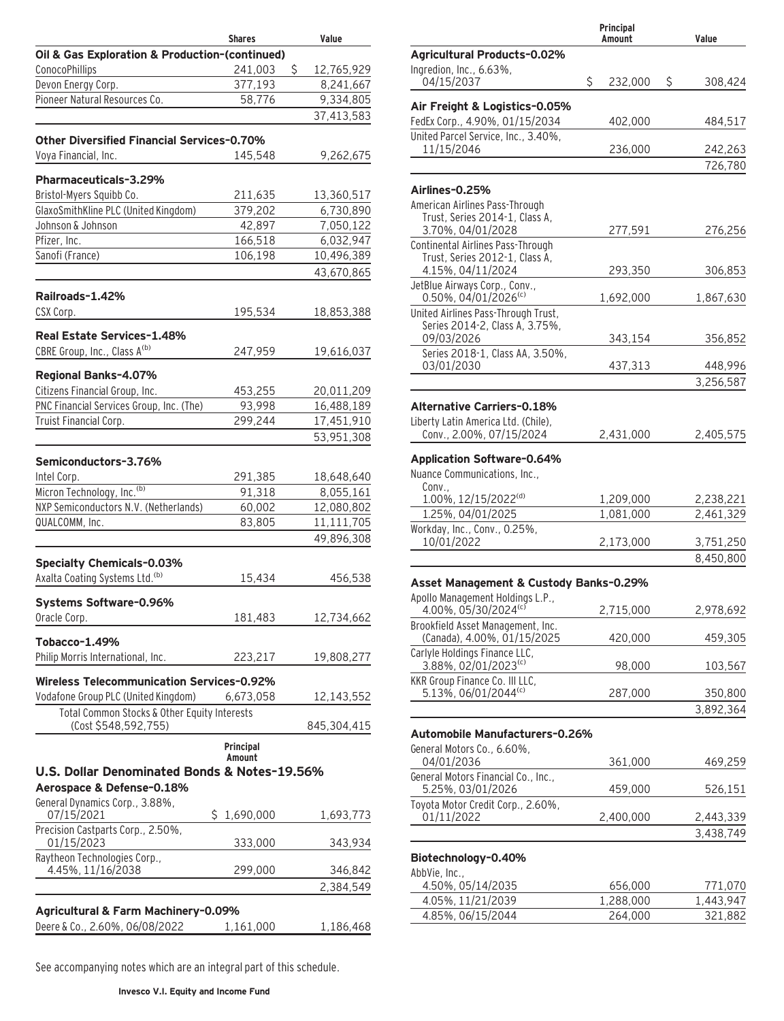|                                                   | <b>Shares</b>       | Value            |
|---------------------------------------------------|---------------------|------------------|
| Oil & Gas Exploration & Production-(continued)    |                     |                  |
| ConocoPhillips                                    | 241,003             | \$<br>12,765,929 |
| Devon Energy Corp.                                | 377,193             | 8,241,667        |
| Pioneer Natural Resources Co.                     | 58,776              | 9,334,805        |
|                                                   |                     | 37,413,583       |
|                                                   |                     |                  |
| <b>Other Diversified Financial Services-0.70%</b> |                     |                  |
| Voya Financial, Inc.                              | 145,548             | 9,262,675        |
|                                                   |                     |                  |
| Pharmaceuticals-3.29%                             |                     |                  |
| Bristol-Myers Squibb Co.                          | 211,635             | 13,360,517       |
| GlaxoSmithKline PLC (United Kingdom)              | 379,202             | 6,730,890        |
| Johnson & Johnson                                 | 42,897              | 7,050,122        |
| Pfizer, Inc.                                      | 166,518             | 6,032,947        |
| Sanofi (France)                                   | 106,198             | 10,496,389       |
|                                                   |                     | 43,670,865       |
|                                                   |                     |                  |
| Railroads-1.42%                                   |                     |                  |
| CSX Corp.                                         | 195,534             | 18,853,388       |
| Real Estate Services-1.48%                        |                     |                  |
| CBRE Group, Inc., Class A(b)                      |                     |                  |
|                                                   | 247,959             | 19,616,037       |
| Regional Banks-4.07%                              |                     |                  |
| Citizens Financial Group, Inc.                    | 453,255             | 20,011,209       |
| PNC Financial Services Group, Inc. (The)          | 93,998              | 16,488,189       |
| Truist Financial Corp.                            | 299,244             | 17,451,910       |
|                                                   |                     | 53,951,308       |
|                                                   |                     |                  |
| Semiconductors-3.76%                              |                     |                  |
| Intel Corp.                                       | 291,385             | 18,648,640       |
| Micron Technology, Inc. <sup>(b)</sup>            | 91,318              | 8,055,161        |
| NXP Semiconductors N.V. (Netherlands)             | 60,002              | 12,080,802       |
| QUALCOMM, Inc.                                    | 83,805              | 11,111,705       |
|                                                   |                     | 49,896,308       |
|                                                   |                     |                  |
| <b>Specialty Chemicals-0.03%</b>                  |                     |                  |
| Axalta Coating Systems Ltd. <sup>(b)</sup>        | 15,434              | 456,538          |
|                                                   |                     |                  |
| Systems Software-0.96%                            |                     |                  |
| Oracle Corp.                                      | 181,483             | 12,734,662       |
|                                                   |                     |                  |
| Tobacco-1.49%                                     |                     |                  |
| Philip Morris International, Inc.                 | 223,217             | 19,808,277       |
| <b>Wireless Telecommunication Services-0.92%</b>  |                     |                  |
| Vodafone Group PLC (United Kingdom)               | 6,673,058           | 12,143,552       |
| Total Common Stocks & Other Equity Interests      |                     |                  |
| (Cost \$548,592,755)                              |                     | 845,304,415      |
|                                                   |                     |                  |
|                                                   | Principal<br>Amount |                  |
| U.S. Dollar Denominated Bonds & Notes-19.56%      |                     |                  |
| Aerospace & Defense-0.18%                         |                     |                  |
|                                                   |                     |                  |
| General Dynamics Corp., 3.88%,<br>07/15/2021      | \$1,690,000         | 1,693,773        |
| Precision Castparts Corp., 2.50%,                 |                     |                  |
| 01/15/2023                                        | 333,000             | 343,934          |
| Raytheon Technologies Corp.,                      |                     |                  |
| 4.45%, 11/16/2038                                 | 299,000             | 346,842          |
|                                                   |                     | 2,384,549        |
|                                                   |                     |                  |
| Agricultural & Farm Machinery-0.09%               |                     |                  |
| Deere & Co., 2.60%, 06/08/2022                    | 1,161,000           | 1,186,468        |
|                                                   |                     |                  |

|                                                                     | Principal<br>Amount | Value                  |
|---------------------------------------------------------------------|---------------------|------------------------|
| <b>Agricultural Products-0.02%</b>                                  |                     |                        |
| Ingredion, Inc., 6.63%,<br>04/15/2037                               | \$<br>232,000       | \$<br>308,424          |
| Air Freight & Logistics-0.05%                                       |                     |                        |
| FedEx Corp., 4.90%, 01/15/2034                                      | 402,000             | 484,517                |
| United Parcel Service, Inc., 3.40%,                                 |                     |                        |
| 11/15/2046                                                          | 236,000             | 242,263<br>726,780     |
|                                                                     |                     |                        |
| Airlines-0.25%                                                      |                     |                        |
| American Airlines Pass-Through<br>Trust, Series 2014-1, Class A,    |                     |                        |
| 3.70%, 04/01/2028                                                   | 277,591             | 276,256                |
| Continental Airlines Pass-Through<br>Trust, Series 2012-1, Class A, |                     |                        |
| 4.15%, 04/11/2024                                                   | 293,350             | 306,853                |
| JetBlue Airways Corp., Conv.,                                       |                     |                        |
| 0.50%, 04/01/2026(c)<br>United Airlines Pass-Through Trust,         | 1,692,000           | 1,867,630              |
| Series 2014-2, Class A, 3.75%,                                      |                     |                        |
| 09/03/2026                                                          | 343,154             | 356,852                |
| Series 2018-1, Class AA, 3.50%,<br>03/01/2030                       | 437,313             | 448,996                |
|                                                                     |                     | 3,256,587              |
| <b>Alternative Carriers-0.18%</b>                                   |                     |                        |
| Liberty Latin America Ltd. (Chile),                                 |                     |                        |
| Conv., 2.00%, 07/15/2024                                            | 2,431,000           | 2,405,575              |
| <b>Application Software-0.64%</b>                                   |                     |                        |
| Nuance Communications, Inc.,                                        |                     |                        |
| Conv<br>1.00%, 12/15/2022 <sup>(d)</sup>                            | 1,209,000           | 2,238,221              |
| 1.25%, 04/01/2025                                                   | 1,081,000           | 2,461,329              |
| Workday, Inc., Conv., 0.25%,                                        |                     |                        |
| 10/01/2022                                                          | 2,173,000           | 3,751,250              |
|                                                                     |                     | 8,450,800              |
| Asset Management & Custody Banks-0.29%                              |                     |                        |
| Apollo Management Holdings L.P.,<br>$4.00\%$ , 05/30/2024 $\degree$ | 2,715,000           | 2,978,692              |
| Brookfield Asset Management, Inc.                                   |                     |                        |
| (Canada), 4.00%, 01/15/2025                                         | 420,000             | 459,305                |
| Carlyle Holdings Finance LLC,<br>3.88%, 02/01/2023 <sup>(c)</sup>   | 98,000              | 103,567                |
| KKR Group Finance Co. III LLC,                                      |                     |                        |
| 5.13%, 06/01/2044(c)                                                | 287,000             | 350,800                |
|                                                                     |                     | 3,892,364              |
| Automobile Manufacturers-0.26%                                      |                     |                        |
| General Motors Co., 6.60%,                                          |                     |                        |
| 04/01/2036<br>General Motors Financial Co., Inc.,                   | 361,000             | 469,259                |
| 5.25%, 03/01/2026                                                   | 459,000             | 526,151                |
| Toyota Motor Credit Corp., 2.60%,<br>01/11/2022                     |                     |                        |
|                                                                     | 2,400,000           | 2,443,339<br>3,438,749 |
|                                                                     |                     |                        |
| Biotechnology-0.40%                                                 |                     |                        |
| AbbVie, Inc.,<br>4.50%, 05/14/2035                                  | 656,000             | 771,070                |
| 4.05%, 11/21/2039                                                   | 1,288,000           | 1,443,947              |
| 4.85%, 06/15/2044                                                   | 264,000             | 321,882                |
|                                                                     |                     |                        |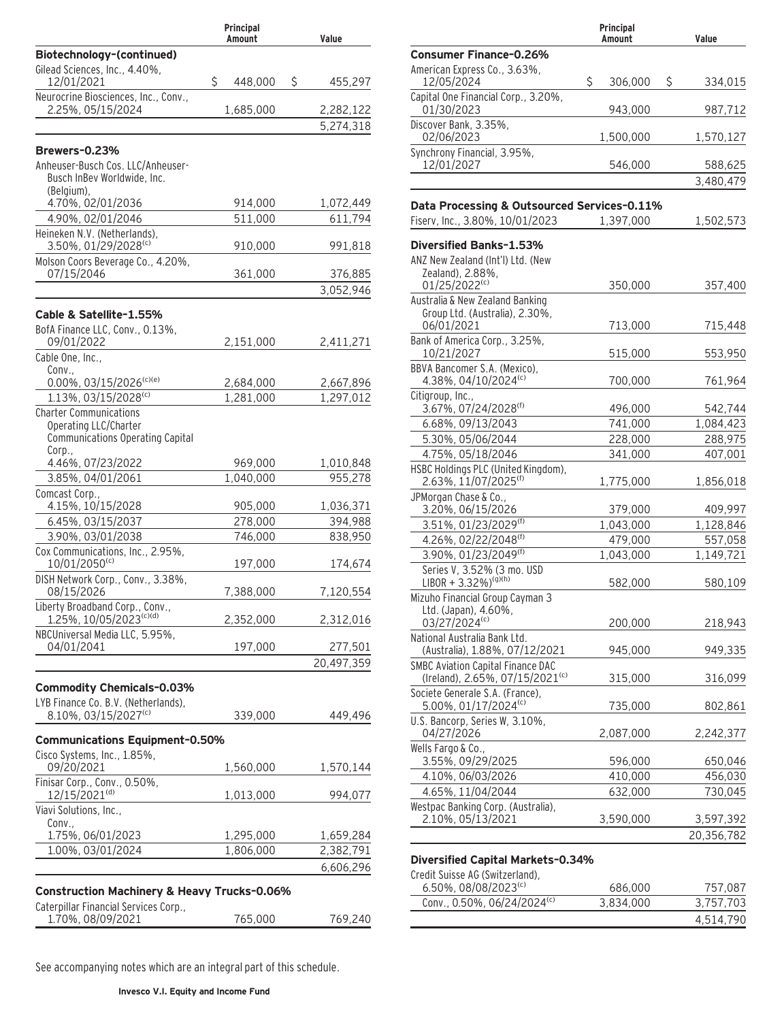|                                                                                                      | Principal<br>Amount | Value                 |
|------------------------------------------------------------------------------------------------------|---------------------|-----------------------|
| Biotechnology-(continued)                                                                            |                     |                       |
| Gilead Sciences, Inc., 4.40%,<br>12/01/2021                                                          | \$<br>448,000       | \$<br>455,297         |
| Neurocrine Biosciences, Inc., Conv.,<br>2.25%, 05/15/2024                                            | 1,685,000           | 2,282,122             |
|                                                                                                      |                     | 5,274,318             |
|                                                                                                      |                     |                       |
| Brewers-0.23%<br>Anheuser-Busch Cos. LLC/Anheuser-<br>Busch InBev Worldwide, Inc.                    |                     |                       |
| (Belgium),<br>4.70%, 02/01/2036                                                                      | 914,000             | 1,072,449             |
| 4.90%, 02/01/2046<br>Heineken N.V. (Netherlands),                                                    | 511,000             | 611,794               |
| 3.50%, 01/29/2028(c)                                                                                 | 910,000             | 991,818               |
| Molson Coors Beverage Co., 4.20%,<br>07/15/2046                                                      | 361,000             | 376,885               |
|                                                                                                      |                     | 3,052,946             |
| Cable & Satellite-1.55%                                                                              |                     |                       |
| BofA Finance LLC, Conv., 0.13%,                                                                      |                     |                       |
| 09/01/2022<br>Cable One, Inc.,                                                                       | 2,151,000           | 2,411,271             |
| Conv.,                                                                                               |                     |                       |
| 0.00%, 03/15/2026(c)(e)                                                                              | 2,684,000           | 2,667,896             |
| 1.13%, 03/15/2028(c)                                                                                 | 1,281,000           | 1,297,012             |
| <b>Charter Communications</b><br>Operating LLC/Charter<br>Communications Operating Capital<br>Corp., |                     |                       |
| 4.46%, 07/23/2022                                                                                    | 969,000             | 1,010,848             |
| 3.85%, 04/01/2061                                                                                    | 1,040,000           | 955,278               |
| Comcast Corp.,                                                                                       |                     |                       |
| 4.15%, 10/15/2028                                                                                    | 905,000             | 1,036,371             |
| 6.45%, 03/15/2037<br>3.90%, 03/01/2038                                                               | 278,000<br>746,000  | 394,988<br>838,950    |
| Cox Communications, Inc., 2.95%,                                                                     |                     |                       |
| 10/01/2050(c)                                                                                        | 197,000             | 174,674               |
| DISH Network Corp., Conv., 3.38%,<br>08/15/2026                                                      | 7,388,000           | 7,120,554             |
| Liberty Broadband Corp., Conv.,<br>1.25%, 10/05/2023(c)(d)                                           | 2,352,000           | 2,312,016             |
| NBCUniversal Media LLC, 5.95%,                                                                       |                     |                       |
| 04/01/2041                                                                                           | 197,000             | 277,501<br>20,497,359 |
|                                                                                                      |                     |                       |
| <b>Commodity Chemicals-0.03%</b>                                                                     |                     |                       |
| LYB Finance Co. B.V. (Netherlands),<br>8.10%, 03/15/2027(c)                                          |                     | 449,496               |
|                                                                                                      | 339,000             |                       |
| <b>Communications Equipment-0.50%</b>                                                                |                     |                       |
| Cisco Systems, Inc., 1.85%,<br>09/20/2021                                                            | 1,560,000           | 1,570,144             |
| Finisar Corp., Conv., 0.50%,<br>12/15/2021 <sup>(d)</sup>                                            | 1,013,000           | 994,077               |
| Viavi Solutions, Inc.,                                                                               |                     |                       |
| Conv.,<br>1.75%, 06/01/2023                                                                          | 1,295,000           | 1,659,284             |
| 1.00%, 03/01/2024                                                                                    | 1,806,000           | 2,382,791             |
|                                                                                                      |                     | 6,606,296             |
| <b>Construction Machinery &amp; Heavy Trucks-0.06%</b>                                               |                     |                       |
| Caterpillar Financial Services Corp.,<br>1.70%, 08/09/2021                                           | 765,000             | 769,240               |
|                                                                                                      |                     |                       |

|                                                   |   | Principal<br>Amount |   | Value     |
|---------------------------------------------------|---|---------------------|---|-----------|
| <b>Consumer Finance-0.26%</b>                     |   |                     |   |           |
| American Express Co., 3.63%,<br>12/05/2024        | Ś | 306,000             | Ŝ | 334,015   |
| Capital One Financial Corp., 3.20%,<br>01/30/2023 |   | 943.000             |   | 987,712   |
| Discover Bank, 3.35%,<br>02/06/2023               |   | 1,500,000           |   | 1,570,127 |
| Synchrony Financial, 3.95%,<br>12/01/2027         |   | 546,000             |   | 588,625   |
|                                                   |   |                     |   | 3,480,479 |
|                                                   |   |                     |   |           |

#### **Data Processing & Outsourced Services–0.11%**

| Fiserv, Inc., 3.80%, 10/01/2023 | 1,397,000 | 1,502,573 |
|---------------------------------|-----------|-----------|
|                                 |           |           |

# **Diversified Banks–1.53%**

| ANZ New Zealand (Int'l) Ltd. (New<br>Zealand), 2.88%,<br>01/25/2022(c)                  | 350,000   | 357,400    |
|-----------------------------------------------------------------------------------------|-----------|------------|
| Australia & New Zealand Banking<br>Group Ltd. (Australia), 2.30%,                       |           |            |
| 06/01/2021                                                                              | 713,000   | 715,448    |
| Bank of America Corp., 3.25%,<br>10/21/2027                                             | 515,000   | 553,950    |
| BBVA Bancomer S.A. (Mexico),<br>4.38%, 04/10/2024(c)                                    | 700,000   | 761,964    |
| Citigroup, Inc.,<br>3.67%, 07/24/2028 <sup>(f)</sup>                                    | 496,000   | 542,744    |
| 6.68%, 09/13/2043                                                                       | 741,000   | 1,084,423  |
| 5.30%, 05/06/2044                                                                       | 228,000   | 288,975    |
| 4.75%, 05/18/2046                                                                       | 341,000   | 407,001    |
| HSBC Holdings PLC (United Kingdom),<br>2.63%, 11/07/2025(f)                             | 1,775,000 | 1,856,018  |
| JPMorgan Chase & Co.,<br>3.20%, 06/15/2026                                              | 379,000   | 409,997    |
| 3.51%, 01/23/2029(f)                                                                    | 1,043,000 | 1,128,846  |
| 4.26%, 02/22/2048(f)                                                                    | 479,000   | 557,058    |
| 3.90%, 01/23/2049(f)                                                                    | 1,043,000 | 1,149,721  |
| Series V, 3.52% (3 mo. USD<br>LIBOR + 3.32%) <sup>(g)(h)</sup>                          | 582,000   | 580,109    |
| Mizuho Financial Group Cayman 3<br>Ltd. (Japan), 4.60%,<br>03/27/2024(c)                | 200,000   | 218,943    |
| National Australia Bank Ltd.<br>(Australia), 1.88%, 07/12/2021                          | 945,000   | 949,335    |
| <b>SMBC Aviation Capital Finance DAC</b><br>(Ireland), 2.65%, 07/15/2021 <sup>(c)</sup> | 315,000   | 316,099    |
| Societe Generale S.A. (France),<br>5.00%, 01/17/2024(c)                                 | 735,000   | 802,861    |
| U.S. Bancorp, Series W, 3.10%,<br>04/27/2026                                            | 2,087,000 | 2,242,377  |
| Wells Fargo & Co.,<br>3.55%, 09/29/2025                                                 | 596,000   | 650,046    |
| 4.10%, 06/03/2026                                                                       | 410,000   | 456,030    |
| 4.65%, 11/04/2044                                                                       | 632,000   | 730,045    |
| Westpac Banking Corp. (Australia),<br>2.10%, 05/13/2021                                 | 3,590,000 | 3,597,392  |
|                                                                                         |           | 20,356,782 |
|                                                                                         |           |            |

### **Diversified Capital Markets–0.34%**

Credit Suisse AG (Switzerland),

| <u>UI CUIL JUISSE AU TSWILLEI IOITU),</u><br>6.50%, 08/08/2023 <sup>(c)</sup> | 686,000   | 757.087   |
|-------------------------------------------------------------------------------|-----------|-----------|
| Conv., 0.50%, 06/24/2024(c)                                                   | 3.834.000 | 3.757.703 |
|                                                                               |           | 4.514.790 |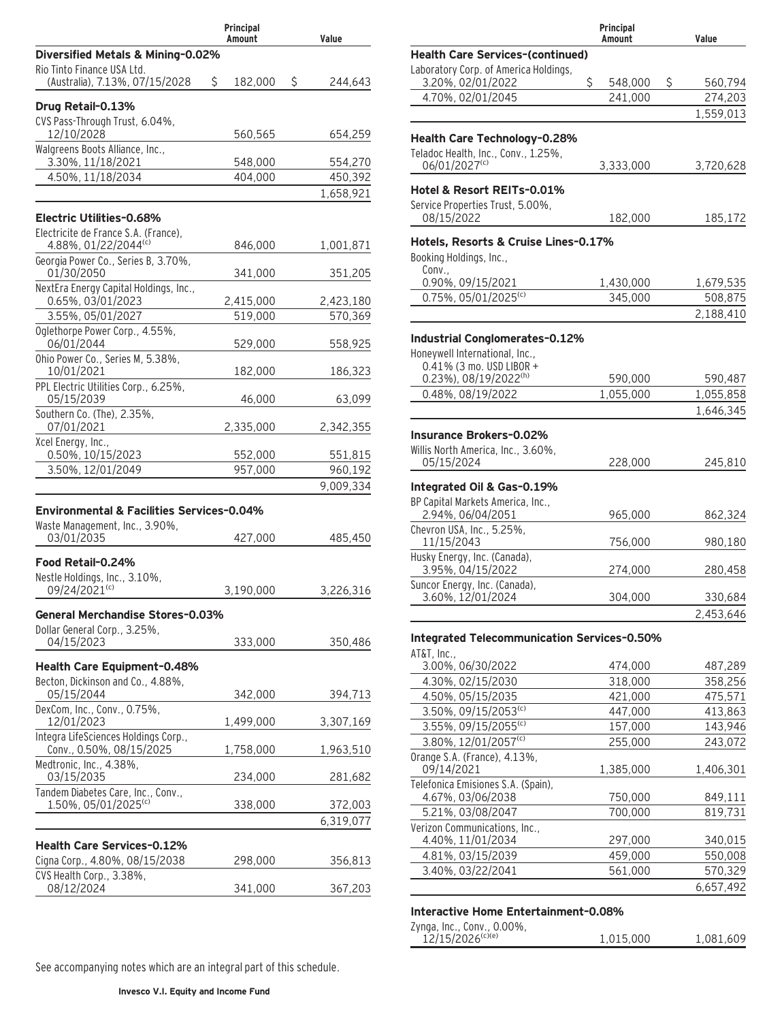|                                                            | Principal<br>Amount | Value         |
|------------------------------------------------------------|---------------------|---------------|
| Diversified Metals & Mining-0.02%                          |                     |               |
| Rio Tinto Finance USA Ltd.                                 |                     |               |
| (Australia), 7.13%, 07/15/2028                             | S.<br>182,000       | \$<br>244,643 |
| Drug Retail-0.13%                                          |                     |               |
| CVS Pass-Through Trust, 6.04%,                             |                     |               |
| 12/10/2028                                                 | 560,565             | 654,259       |
| Walgreens Boots Alliance, Inc.,<br>3.30%, 11/18/2021       | 548,000             | 554,270       |
| 4.50%, 11/18/2034                                          | 404,000             | 450,392       |
|                                                            |                     | 1,658,921     |
| Electric Utilities-0.68%                                   |                     |               |
| Electricite de France S.A. (France),                       |                     |               |
| 4.88%, 01/22/2044(c)                                       | 846,000             | 1,001,871     |
| Georgia Power Co., Series B, 3.70%,                        |                     |               |
| 01/30/2050<br>NextEra Energy Capital Holdings, Inc.,       | 341,000             | 351,205       |
| 0.65%, 03/01/2023                                          | 2,415,000           | 2,423,180     |
| 3.55%, 05/01/2027                                          | 519,000             | 570,369       |
| Oglethorpe Power Corp., 4.55%,                             |                     |               |
| 06/01/2044                                                 | 529,000             | 558,925       |
| Ohio Power Co., Series M, 5.38%,<br>10/01/2021             | 182,000             | 186,323       |
| PPL Electric Utilities Corp., 6.25%,                       |                     |               |
| 05/15/2039                                                 | 46,000              | 63,099        |
| Southern Co. (The), 2.35%,                                 |                     |               |
| 07/01/2021<br>Xcel Energy, Inc.,                           | 2,335,000           | 2,342,355     |
| 0.50%, 10/15/2023                                          | 552,000             | 551,815       |
| 3.50%, 12/01/2049                                          | 957,000             | 960,192       |
|                                                            |                     | 9,009,334     |
| <b>Environmental &amp; Facilities Services-0.04%</b>       |                     |               |
| Waste Management, Inc., 3.90%,                             |                     |               |
| 03/01/2035                                                 | 427,000             | 485,450       |
| Food Retail-0.24%                                          |                     |               |
| Nestle Holdings, Inc., 3.10%,                              |                     |               |
| 09/24/2021 <sup>(c)</sup>                                  | 3,190,000           | 3,226,316     |
| General Merchandise Stores-0.03%                           |                     |               |
| Dollar General Corp., 3.25%,                               |                     |               |
| 04/15/2023                                                 | 333,000             | 350,486       |
| Health Care Equipment-0.48%                                |                     |               |
| Becton, Dickinson and Co., 4.88%,                          |                     |               |
| 05/15/2044                                                 | 342,000             | 394,713       |
| DexCom, Inc., Conv., 0.75%,                                |                     |               |
| 12/01/2023<br>Integra LifeSciences Holdings Corp.,         | 1,499,000           | 3,307,169     |
| Conv., 0.50%, 08/15/2025                                   | 1,758,000           | 1,963,510     |
| Medtronic, Inc., 4.38%,                                    |                     |               |
| 03/15/2035                                                 | 234,000             | 281,682       |
| Tandem Diabetes Care, Inc., Conv.,<br>1.50%, 05/01/2025(c) | 338,000             | 372,003       |
|                                                            |                     | 6,319,077     |
|                                                            |                     |               |
| <b>Health Care Services-0.12%</b>                          |                     |               |
| Cigna Corp., 4.80%, 08/15/2038<br>CVS Health Corp., 3.38%, | 298,000             | 356,813       |
| 08/12/2024                                                 | 341,000             | 367,203       |
|                                                            |                     |               |

|                                                            | Principal<br>Amount | Value              |
|------------------------------------------------------------|---------------------|--------------------|
| <b>Health Care Services-(continued)</b>                    |                     |                    |
| Laboratory Corp. of America Holdings,                      |                     |                    |
| 3.20%, 02/01/2022                                          | \$<br>548,000       | \$<br>560,794      |
| 4.70%, 02/01/2045                                          | 241,000             | 274,203            |
|                                                            |                     | 1,559,013          |
| Health Care Technology-0.28%                               |                     |                    |
| Teladoc Health, Inc., Conv., 1.25%,                        |                     |                    |
| 06/01/2027(c)                                              | 3,333,000           | 3,720,628          |
| Hotel & Resort REITs-0.01%                                 |                     |                    |
| Service Properties Trust, 5.00%,                           |                     |                    |
| 08/15/2022                                                 | 182,000             | 185,172            |
|                                                            |                     |                    |
| Hotels, Resorts & Cruise Lines-0.17%                       |                     |                    |
| Booking Holdings, Inc.,<br>Conv.,                          |                     |                    |
| 0.90%, 09/15/2021                                          | 1,430,000           | 1,679,535          |
| $0.75\%$ , 05/01/2025 <sup>(c)</sup>                       | 345,000             | 508,875            |
|                                                            |                     | 2,188,410          |
|                                                            |                     |                    |
| Industrial Conglomerates-0.12%                             |                     |                    |
| Honeywell International, Inc.,<br>0.41% (3 mo. USD LIBOR + |                     |                    |
| 0.23%), 08/19/2022 <sup>(h)</sup>                          | 590,000             | 590,487            |
| 0.48%, 08/19/2022                                          | 1,055,000           | 1,055,858          |
|                                                            |                     | 1,646,345          |
|                                                            |                     |                    |
| Insurance Brokers-0.02%                                    |                     |                    |
| Willis North America, Inc., 3.60%,                         |                     |                    |
| 05/15/2024                                                 | 228,000             | 245,810            |
| Integrated Oil & Gas-0.19%                                 |                     |                    |
| BP Capital Markets America, Inc.,                          |                     |                    |
| 2.94%, 06/04/2051                                          | 965,000             | 862,324            |
| Chevron USA, Inc., 5.25%,<br>11/15/2043                    |                     |                    |
|                                                            | 756,000             | 980,180            |
| Husky Energy, Inc. (Canada),<br>3.95%, 04/15/2022          | 274,000             | 280,458            |
| Suncor Energy, Inc. (Canada),                              |                     |                    |
| 3.60%, 12/01/2024                                          | 304,000             | 330,684            |
|                                                            |                     | 2,453,646          |
| <b>Integrated Telecommunication Services-0.50%</b>         |                     |                    |
| AT&T, Inc.,                                                |                     |                    |
| 3.00%, 06/30/2022                                          | 474,000             | 487,289            |
| 4.30%, 02/15/2030<br>4.50%, 05/15/2035                     | 318,000             | 358,256<br>475,571 |
| 3.50%, 09/15/2053(c)                                       | 421,000<br>447,000  | 413,863            |
| 3.55%, 09/15/2055 <sup>(c)</sup>                           | 157,000             | 143,946            |
| 3.80%, 12/01/2057(c)                                       | 255,000             | 243,072            |
| Orange S.A. (France), 4.13%,                               |                     |                    |
| 09/14/2021                                                 | 1,385,000           | 1,406,301          |
| Telefonica Emisiones S.A. (Spain),                         |                     |                    |
| 4.67%, 03/06/2038                                          | 750,000             | 849,111            |
| 5.21%, 03/08/2047                                          | 700,000             | 819,731            |
| Verizon Communications, Inc.,                              |                     |                    |
| 4.40%, 11/01/2034                                          | 297,000             | 340,015            |
| 4.81%, 03/15/2039                                          | 459,000             | 550,008            |
| 3.40%, 03/22/2041                                          | 561,000             | 570,329            |
|                                                            |                     | 6,657,492          |

#### **Interactive Home Entertainment–0.08%**

| Zynga, Inc., Conv., 0.00%,     |           |           |
|--------------------------------|-----------|-----------|
| $12/15/2026$ <sup>(c)(e)</sup> | 1.015.000 | 1.081.609 |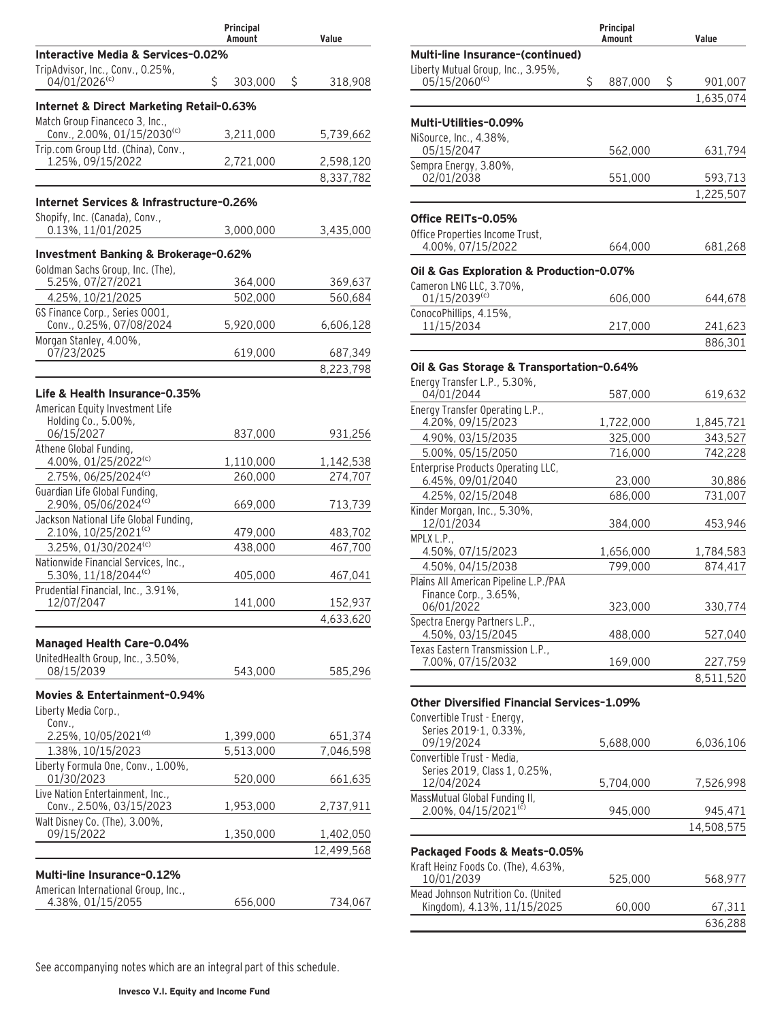|                                                                    | Principal<br>Amount  | Value                   |
|--------------------------------------------------------------------|----------------------|-------------------------|
| Interactive Media & Services-0.02%                                 |                      |                         |
| TripAdvisor, Inc., Conv., 0.25%,<br>04/01/2026 <sup>(c)</sup>      | \$<br>303,000        | \$<br>318,908           |
| Internet & Direct Marketing Retail-0.63%                           |                      |                         |
| Match Group Financeco 3, Inc.,                                     |                      |                         |
| Conv., 2.00%, 01/15/2030(c)<br>Trip.com Group Ltd. (China), Conv., | 3,211,000            | 5,739,662               |
| 1.25%, 09/15/2022                                                  | 2,721,000            | 2,598,120               |
|                                                                    |                      | 8,337,782               |
| Internet Services & Infrastructure-0.26%                           |                      |                         |
| Shopify, Inc. (Canada), Conv.,                                     |                      |                         |
| 0.13%, 11/01/2025                                                  | 3,000,000            | 3,435,000               |
| Investment Banking & Brokerage-0.62%                               |                      |                         |
| Goldman Sachs Group, Inc. (The),<br>5.25%, 07/27/2021              | 364,000              | 369,637                 |
| 4.25%, 10/21/2025                                                  | 502,000              | 560,684                 |
| GS Finance Corp., Series 0001,                                     |                      |                         |
| Conv., 0.25%, 07/08/2024                                           | 5,920,000            | 6,606,128               |
| Morgan Stanley, 4.00%,<br>07/23/2025                               | 619,000              | 687,349                 |
|                                                                    |                      | 8,223,798               |
|                                                                    |                      |                         |
| Life & Health Insurance-0.35%                                      |                      |                         |
| American Equity Investment Life<br>Holding Co., 5.00%,             |                      |                         |
| 06/15/2027                                                         | 837,000              | 931,256                 |
| Athene Global Funding,                                             |                      |                         |
| 4.00%, 01/25/2022(c)<br>2.75%, 06/25/2024 <sup>(c)</sup>           | 1,110,000<br>260,000 | 1,142,538<br>274,707    |
| Guardian Life Global Funding,                                      |                      |                         |
| 2.90%, 05/06/2024(c)                                               | 669,000              | 713,739                 |
| Jackson National Life Global Funding,                              |                      |                         |
| 2.10%, 10/25/2021(c)<br>$3.25\%$ , 01/30/2024 <sup>(c)</sup>       | 479,000<br>438,000   | 483,702<br>467,700      |
| Nationwide Financial Services, Inc.,                               |                      |                         |
| 5.30%, 11/18/2044(c)                                               | 405,000              | 467,041                 |
| Prudential Financial, Inc., 3.91%,                                 |                      |                         |
| 12/07/2047                                                         | 141,000              | 152,937<br>4,633,620    |
|                                                                    |                      |                         |
| <b>Managed Health Care-0.04%</b>                                   |                      |                         |
| UnitedHealth Group, Inc., 3.50%,<br>08/15/2039                     | 543,000              | 585,296                 |
|                                                                    |                      |                         |
| Movies & Entertainment-0.94%                                       |                      |                         |
| Liberty Media Corp.,<br>Conv                                       |                      |                         |
| 2.25%, 10/05/2021 <sup>(d)</sup>                                   | 1,399,000            | 651,374                 |
| 1.38%, 10/15/2023                                                  | 5,513,000            | 7,046,598               |
| Liberty Formula One, Conv., 1.00%,<br>01/30/2023                   | 520,000              | 661,635                 |
| Live Nation Entertainment, Inc.,                                   |                      |                         |
| Conv., 2.50%, 03/15/2023                                           | 1,953,000            | 2,737,911               |
| Walt Disney Co. (The), 3.00%,                                      |                      |                         |
| 09/15/2022                                                         | 1,350,000            | 1,402,050<br>12,499,568 |
|                                                                    |                      |                         |
| Multi-line Insurance-0.12%                                         |                      |                         |
| American International Group, Inc.,<br>4.38%, 01/15/2055           | 656,000              | 734,067                 |
|                                                                    |                      |                         |

|                                                                   | Principal<br>Amount | Value             |
|-------------------------------------------------------------------|---------------------|-------------------|
| <b>Multi-line Insurance-(continued)</b>                           |                     |                   |
| Liberty Mutual Group, Inc., 3.95%,                                |                     |                   |
| 05/15/2060 <sup>(c)</sup>                                         | \$<br>887,000       | \$<br>901,007     |
|                                                                   |                     | 1.635.074         |
| Multi-Utilities-0.09%                                             |                     |                   |
| NiSource, Inc., 4.38%,                                            |                     |                   |
| 05/15/2047                                                        | 562,000             | 631,794           |
| Sempra Energy, 3.80%,<br>02/01/2038                               | 551,000             | 593,713           |
|                                                                   |                     | 1,225,507         |
|                                                                   |                     |                   |
| Office REITs-0.05%                                                |                     |                   |
| Office Properties Income Trust,<br>4.00%, 07/15/2022              | 664,000             | 681,268           |
|                                                                   |                     |                   |
| Oil & Gas Exploration & Production-0.07%                          |                     |                   |
| Cameron LNG LLC, 3.70%,                                           |                     |                   |
| 01/15/2039(c)<br>ConocoPhillips, 4.15%,                           | 606,000             | 644,678           |
| 11/15/2034                                                        | 217,000             | 241,623           |
|                                                                   |                     | 886,301           |
|                                                                   |                     |                   |
| Oil & Gas Storage & Transportation-0.64%                          |                     |                   |
| Energy Transfer L.P., 5.30%,<br>04/01/2044                        | 587,000             | 619,632           |
| Energy Transfer Operating L.P.,                                   |                     |                   |
| 4.20%, 09/15/2023                                                 | 1,722,000           | 1,845,721         |
| 4.90%, 03/15/2035                                                 | 325,000             | 343,527           |
| 5.00%, 05/15/2050                                                 | 716,000             | 742,228           |
| Enterprise Products Operating LLC,                                |                     |                   |
| 6.45%, 09/01/2040<br>4.25%, 02/15/2048                            | 23,000<br>686,000   | 30,886<br>731,007 |
| Kinder Morgan, Inc., 5.30%,                                       |                     |                   |
| 12/01/2034                                                        | 384,000             | 453,946           |
| MPLX L.P.,                                                        |                     |                   |
| 4.50%, 07/15/2023                                                 | 1,656,000           | 1,784,583         |
| 4.50%, 04/15/2038                                                 | 799,000             | 874,417           |
| Plains All American Pipeline L.P./PAA<br>Finance Corp., 3.65%,    |                     |                   |
| 06/01/2022                                                        | 323,000             | 330,774           |
| Spectra Energy Partners L.P.,                                     |                     |                   |
| 4.50%, 03/15/2045                                                 | 488,000             | 527,040           |
| Texas Eastern Transmission L.P.,                                  |                     |                   |
| 7.00%, 07/15/2032                                                 | 169,000             | 227,759           |
|                                                                   |                     | 8,511,520         |
| Other Diversified Financial Services-1.09%                        |                     |                   |
| Convertible Trust - Energy,                                       |                     |                   |
| Series 2019-1, 0.33%,<br>09/19/2024                               | 5,688,000           | 6,036,106         |
| Convertible Trust - Media,                                        |                     |                   |
| Series 2019, Class 1, 0.25%,                                      |                     |                   |
| 12/04/2024                                                        | 5,704,000           | 7,526,998         |
| MassMutual Global Funding II,<br>2.00%, 04/15/2021 <sup>(č)</sup> |                     |                   |
|                                                                   | 945,000             | 945,471           |
|                                                                   |                     | 14,508,575        |
| Packaged Foods & Meats-0.05%                                      |                     |                   |
| Kraft Heinz Foods Co. (The), 4.63%,                               |                     |                   |
| 10/01/2039                                                        | 525,000             | 568,977           |
| Mead Johnson Nutrition Co. (United                                |                     |                   |

Kingdom), 4.13%, 11/15/2025 60,000 67,311

636,288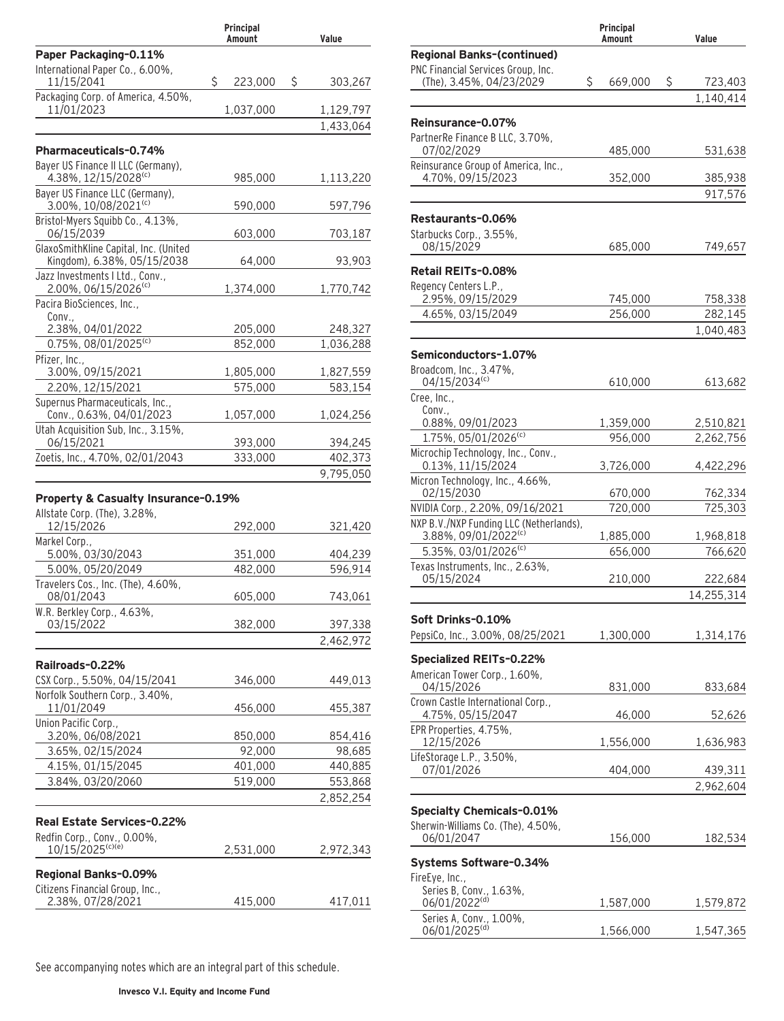|                                                                      | Principal<br>Amount | Value             |
|----------------------------------------------------------------------|---------------------|-------------------|
| Paper Packaging-0.11%                                                |                     |                   |
| International Paper Co., 6.00%,<br>11/15/2041                        | \$<br>223,000       | \$<br>303,267     |
| Packaging Corp. of America, 4.50%,<br>11/01/2023                     | 1,037,000           | 1,129,797         |
|                                                                      |                     | 1,433,064         |
| Pharmaceuticals-0.74%                                                |                     |                   |
| Bayer US Finance II LLC (Germany),                                   |                     |                   |
| 4.38%, 12/15/2028(c)                                                 | 985,000             | 1,113,220         |
| Bayer US Finance LLC (Germany),<br>3.00%, 10/08/2021(c)              | 590,000             | 597,796           |
| Bristol-Myers Squibb Co., 4.13%,<br>06/15/2039                       | 603,000             | 703,187           |
| GlaxoSmithKline Capital, Inc. (United<br>Kingdom), 6.38%, 05/15/2038 | 64,000              | 93,903            |
| Jazz Investments I Ltd., Conv.,<br>2.00%, 06/15/2026 <sup>(c)</sup>  | 1,374,000           | 1,770,742         |
| Pacira BioSciences, Inc.,                                            |                     |                   |
| Conv.,<br>2.38%, 04/01/2022                                          | 205,000             | 248,327           |
| 0.75%, 08/01/2025(c)                                                 | 852,000             | 1,036,288         |
| Pfizer, Inc.,                                                        |                     |                   |
| 3.00%, 09/15/2021                                                    | 1,805,000           | 1,827,559         |
| 2.20%, 12/15/2021                                                    | 575,000             | 583,154           |
| Supernus Pharmaceuticals, Inc.,<br>Conv., 0.63%, 04/01/2023          | 1,057,000           | 1,024,256         |
| Utah Acquisition Sub, Inc., 3.15%,<br>06/15/2021                     | 393,000             | 394,245           |
| Zoetis, Inc., 4.70%, 02/01/2043                                      | 333,000             | 402,373           |
|                                                                      |                     | 9,795,050         |
| Property & Casualty Insurance-0.19%                                  |                     |                   |
| Allstate Corp. (The), 3.28%,<br>12/15/2026                           | 292,000             |                   |
| Markel Corp.,                                                        |                     | 321,420           |
| 5.00%, 03/30/2043                                                    | 351,000             | 404,239           |
| 5.00%, 05/20/2049                                                    | 482,000             | 596,914           |
| Travelers Cos., Inc. (The), 4.60%,<br>08/01/2043                     | 605,000             | 743,061           |
| W.R. Berkley Corp., 4.63%,                                           |                     |                   |
| 03/15/2022                                                           | 382,000             | 397,338           |
|                                                                      |                     | 2,462,972         |
| Railroads-0.22%                                                      |                     |                   |
| CSX Corp., 5.50%, 04/15/2041                                         | 346,000             | 449,013           |
| Norfolk Southern Corp., 3.40%,<br>11/01/2049                         | 456,000             | 455,387           |
| Union Pacific Corp.,                                                 |                     |                   |
| 3.20%, 06/08/2021<br>3.65%, 02/15/2024                               | 850,000<br>92,000   | 854,416<br>98,685 |
| 4.15%, 01/15/2045                                                    | 401,000             | 440,885           |
| 3.84%, 03/20/2060                                                    | 519,000             | 553,868           |
|                                                                      |                     | 2,852,254         |
|                                                                      |                     |                   |
| Real Estate Services-0.22%                                           |                     |                   |
| Redfin Corp., Conv., 0.00%,<br>10/15/2025 <sup>(c)(e)</sup>          | 2,531,000           | 2,972,343         |
| Regional Banks-0.09%                                                 |                     |                   |
| Citizens Financial Group, Inc.,                                      |                     |                   |
| 2.38%, 07/28/2021                                                    | 415,000             | 417,011           |

|                                                         | Principal<br>Amount | Value              |
|---------------------------------------------------------|---------------------|--------------------|
| <b>Regional Banks-(continued)</b>                       |                     |                    |
| PNC Financial Services Group, Inc.                      |                     |                    |
| (The), 3.45%, 04/23/2029                                | \$<br>669,000       | \$<br>723,403      |
|                                                         |                     | 1,140,414          |
| Reinsurance-0.07%                                       |                     |                    |
| PartnerRe Finance B LLC, 3.70%,                         |                     |                    |
| 07/02/2029<br>Reinsurance Group of America, Inc.,       | 485,000             | 531,638            |
| 4.70%, 09/15/2023                                       | 352,000             | 385,938            |
|                                                         |                     | 917,576            |
| Restaurants-0.06%                                       |                     |                    |
| Starbucks Corp., 3.55%,                                 |                     |                    |
| 08/15/2029                                              | 685,000             | 749,657            |
| Retail REITs-0.08%                                      |                     |                    |
| Regency Centers L.P.,                                   |                     |                    |
| 2.95%, 09/15/2029<br>4.65%, 03/15/2049                  | 745,000<br>256,000  | 758,338<br>282,145 |
|                                                         |                     | 1,040,483          |
| Semiconductors-1.07%                                    |                     |                    |
| Broadcom, Inc., 3.47%,                                  |                     |                    |
| 04/15/2034(c)                                           | 610,000             | 613,682            |
| Cree, Inc.,                                             |                     |                    |
| Conv.,<br>0.88%, 09/01/2023                             | 1,359,000           | 2,510,821          |
| 1.75%, 05/01/2026(c)                                    | 956,000             | 2,262,756          |
| Microchip Technology, Inc., Conv.,<br>0.13%, 11/15/2024 | 3,726,000           | 4,422,296          |
| Micron Technology, Inc., 4.66%,                         |                     |                    |
| 02/15/2030<br>NVIDIA Corp., 2.20%, 09/16/2021           | 670,000<br>720,000  | 762,334<br>725,303 |
| NXP B.V./NXP Funding LLC (Netherlands),                 |                     |                    |
| 3.88%, 09/01/2022 <sup>(c)</sup>                        | 1,885,000           | 1,968,818          |
| 5.35%, 03/01/2026 <sup>(c)</sup>                        | 656,000             | 766,620            |
| Texas Instruments, Inc., 2.63%,<br>05/15/2024           | 210,000             | 222,684            |
|                                                         |                     | 14,255,314         |
|                                                         |                     |                    |
| Soft Drinks-0.10%<br>PepsiCo, Inc., 3.00%, 08/25/2021   | 1,300,000           | 1,314,176          |
|                                                         |                     |                    |
| <b>Specialized REITs-0.22%</b>                          |                     |                    |
| American Tower Corp., 1.60%,<br>04/15/2026              | 831,000             | 833,684            |
| Crown Castle International Corp.,                       |                     |                    |
| 4.75%, 05/15/2047                                       | 46,000              | 52,626             |
| EPR Properties, 4.75%,<br>12/15/2026                    | 1,556,000           | 1,636,983          |
| LifeStorage L.P., 3.50%,                                |                     |                    |
| 07/01/2026                                              | 404,000             | 439,311            |
|                                                         |                     | 2,962,604          |
| <b>Specialty Chemicals-0.01%</b>                        |                     |                    |
| Sherwin-Williams Co. (The), 4.50%,                      |                     |                    |
| 06/01/2047                                              | 156,000             | 182,534            |
| Systems Software-0.34%                                  |                     |                    |
| FireEye, Inc.,                                          |                     |                    |
| Series B, Conv., 1.63%,<br>06/01/2022 <sup>(d)</sup>    | 1,587,000           | 1,579,872          |
| Series A, Conv., 1.00%,<br>06/01/2025 <sup>(d)</sup>    |                     |                    |
|                                                         | 1,566,000           | 1,547,365          |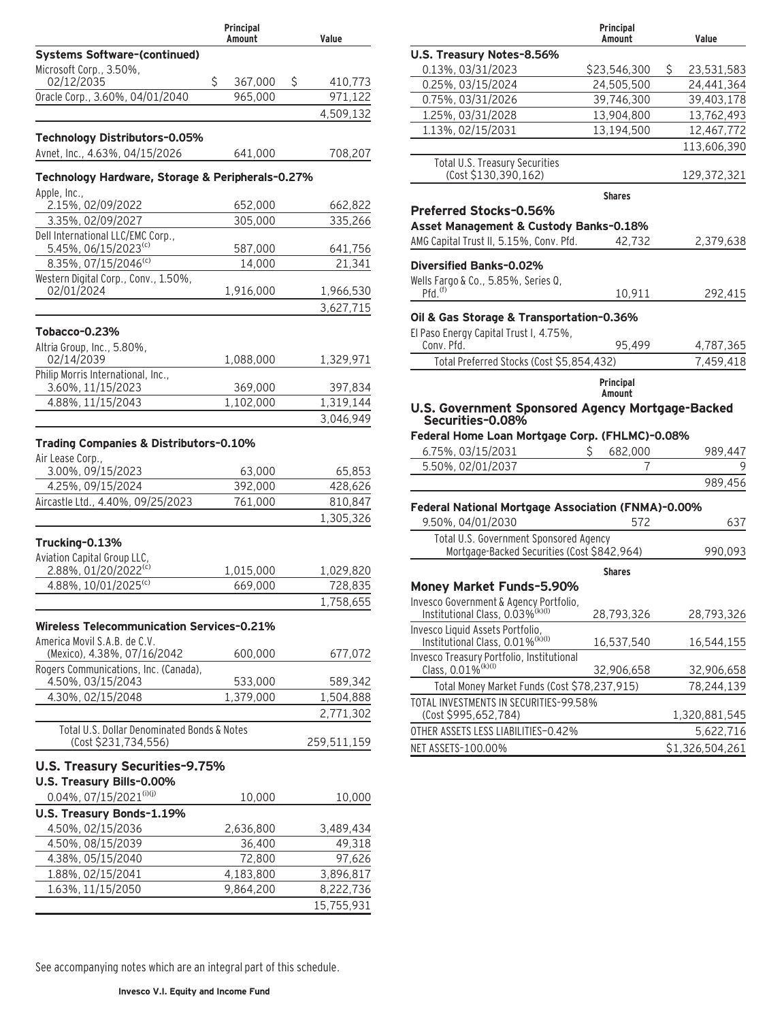| Principal<br>Amount                                       |    | Value              |    |                      |
|-----------------------------------------------------------|----|--------------------|----|----------------------|
| <b>Systems Software-(continued)</b>                       |    |                    |    |                      |
| Microsoft Corp., 3.50%,                                   |    |                    |    |                      |
| 02/12/2035<br>Oracle Corp., 3.60%, 04/01/2040             | \$ | 367,000<br>965,000 | \$ | 410,773              |
|                                                           |    |                    |    | 971,122<br>4,509,132 |
|                                                           |    |                    |    |                      |
| Technology Distributors-0.05%                             |    |                    |    |                      |
| Avnet, Inc., 4.63%, 04/15/2026                            |    | 641,000            |    | 708,207              |
| Technology Hardware, Storage & Peripherals-0.27%          |    |                    |    |                      |
| Apple, Inc.,                                              |    |                    |    |                      |
| 2.15%, 02/09/2022                                         |    | 652,000            |    | 662,822              |
| 3.35%, 02/09/2027                                         |    | 305,000            |    | 335,266              |
| Dell International LLC/EMC Corp.,<br>5.45%, 06/15/2023(c) |    |                    |    |                      |
| 8.35%, 07/15/2046(c)                                      |    | 587,000<br>14,000  |    | 641,756<br>21,341    |
| Western Digital Corp., Conv., 1.50%,                      |    |                    |    |                      |
| 02/01/2024                                                |    | 1,916,000          |    | 1,966,530            |
|                                                           |    |                    |    | 3,627,715            |
|                                                           |    |                    |    |                      |
| Tobacco-0.23%<br>Altria Group, Inc., 5.80%,               |    |                    |    |                      |
| 02/14/2039                                                |    | 1,088,000          |    | 1,329,971            |
| Philip Morris International, Inc.,                        |    |                    |    |                      |
| 3.60%, 11/15/2023                                         |    | 369,000            |    | 397,834              |
| 4.88%, 11/15/2043                                         |    | 1,102,000          |    | 1,319,144            |
|                                                           |    |                    |    | 3,046,949            |
| Trading Companies & Distributors-0.10%                    |    |                    |    |                      |
| Air Lease Corp.,                                          |    |                    |    |                      |
| 3.00%, 09/15/2023                                         |    | 63,000             |    | 65,853               |
| 4.25%, 09/15/2024                                         |    | 392,000            |    | 428,626              |
| Aircastle Ltd., 4.40%, 09/25/2023                         |    | 761,000            |    | 810,847              |
|                                                           |    |                    |    | 1,305,326            |
| Trucking-0.13%                                            |    |                    |    |                      |
| Aviation Capital Group LLC,                               |    |                    |    |                      |
| 2.88%, 01/20/2022 <sup>(c)</sup>                          |    | 1,015,000          |    | 1,029,820            |
| 4.88%, 10/01/2025(c)                                      |    | 669,000            |    | 728,835              |
|                                                           |    |                    |    | 1,758,655            |
| <b>Wireless Telecommunication Services-0.21%</b>          |    |                    |    |                      |
| America Movil S.A.B. de C.V.                              |    |                    |    |                      |
| (Mexico), 4.38%, 07/16/2042                               |    | 600,000            |    | 677,072              |
| Rogers Communications, Inc. (Canada),                     |    |                    |    |                      |
| 4.50%, 03/15/2043                                         |    | 533,000            |    | 589,342              |
| 4.30%, 02/15/2048                                         |    | 1,379,000          |    | 1,504,888            |
|                                                           |    |                    |    | 2,771,302            |
| Total U.S. Dollar Denominated Bonds & Notes               |    |                    |    |                      |
| (Cost \$231,734,556)                                      |    |                    |    | 259,511,159          |
| U.S. Treasury Securities-9.75%                            |    |                    |    |                      |
| U.S. Treasury Bills-0.00%                                 |    |                    |    |                      |
| $0.04\%$ , 07/15/2021(i)(j)                               |    | 10,000             |    | 10,000               |
| U.S. Treasury Bonds-1.19%                                 |    |                    |    |                      |
| 4.50%, 02/15/2036                                         |    | 2,636,800          |    | 3,489,434            |
| 4.50%, 08/15/2039                                         |    | 36,400             |    | 49,318               |
| 4.38%, 05/15/2040                                         |    | 72,800             |    | 97,626               |
| 1.88%, 02/15/2041                                         |    | 4,183,800          |    | 3,896,817            |
| 1.63%, 11/15/2050                                         |    | 9,864,200          |    | 8,222,736            |
|                                                           |    |                    |    | 15,755,931           |

|                                                                                       | Principal<br>Amount | Value            |
|---------------------------------------------------------------------------------------|---------------------|------------------|
| U.S. Treasury Notes-8.56%                                                             |                     |                  |
| 0.13%, 03/31/2023                                                                     | \$23,546,300        | \$<br>23,531,583 |
| 0.25%, 03/15/2024                                                                     | 24,505,500          | 24,441,364       |
| 0.75%, 03/31/2026                                                                     | 39,746,300          | 39,403,178       |
| 1.25%, 03/31/2028                                                                     | 13,904,800          | 13,762,493       |
| 1.13%, 02/15/2031                                                                     | 13,194,500          | 12,467,772       |
|                                                                                       |                     | 113,606,390      |
| <b>Total U.S. Treasury Securities</b><br>(Cost \$130,390,162)                         |                     | 129,372,321      |
|                                                                                       | <b>Shares</b>       |                  |
| Preferred Stocks-0.56%                                                                |                     |                  |
| Asset Management & Custody Banks-0.18%                                                |                     |                  |
| AMG Capital Trust II, 5.15%, Conv. Pfd.                                               | 42,732              | 2,379,638        |
|                                                                                       |                     |                  |
| Diversified Banks-0.02%                                                               |                     |                  |
| Wells Fargo & Co., 5.85%, Series Q,<br>$Pfd.$ <sup><math>(f)</math></sup>             | 10,911              | 292,415          |
|                                                                                       |                     |                  |
| Oil & Gas Storage & Transportation-0.36%                                              |                     |                  |
| El Paso Energy Capital Trust I, 4.75%,                                                |                     |                  |
| Conv. Pfd.                                                                            | 95,499              | 4,787,365        |
| Total Preferred Stocks (Cost \$5,854,432)                                             |                     | 7,459,418        |
|                                                                                       | Principal           |                  |
| U.S. Government Sponsored Agency Mortgage-Backed                                      | Amount              |                  |
| Securities-0.08%                                                                      |                     |                  |
| Federal Home Loan Mortgage Corp. (FHLMC)-0.08%                                        |                     |                  |
| 6.75%, 03/15/2031                                                                     | S<br>682,000        | 989,447          |
| 5.50%, 02/01/2037                                                                     | 7                   | 9                |
|                                                                                       |                     | 989,456          |
|                                                                                       |                     |                  |
| Federal National Mortgage Association (FNMA)-0.00%                                    |                     |                  |
| 9.50%, 04/01/2030                                                                     | 572                 | 637              |
| Total U.S. Government Sponsored Agency<br>Mortgage-Backed Securities (Cost \$842,964) |                     | 990,093          |
|                                                                                       |                     |                  |
| <b>Money Market Funds-5.90%</b>                                                       | <b>Shares</b>       |                  |
| Invesco Government & Agency Portfolio,                                                |                     |                  |
| Institutional Class, 0.03% <sup>(k)(l)</sup>                                          | 28,793,326          | 28,793,326       |
| Invesco Liquid Assets Portfolio,                                                      |                     |                  |
| Institutional Class, 0.01% <sup>(k)(l)</sup>                                          | 16,537,540          | 16,544,155       |
| Invesco Treasury Portfolio, Institutional                                             |                     |                  |
| Class, 0.01% <sup>(k)(l)</sup>                                                        | 32,906,658          | 32,906,658       |
| Total Money Market Funds (Cost \$78,237,915)                                          |                     | 78,244,139       |
| TOTAL INVESTMENTS IN SECURITIES-99.58%                                                |                     |                  |
| (Cost \$995,652,784)                                                                  |                     | 1,320,881,545    |
| OTHER ASSETS LESS LIABILITIES-0.42%                                                   |                     | 5,622,716        |
| NET ASSETS-100.00%                                                                    |                     | \$1,326,504,261  |
|                                                                                       |                     |                  |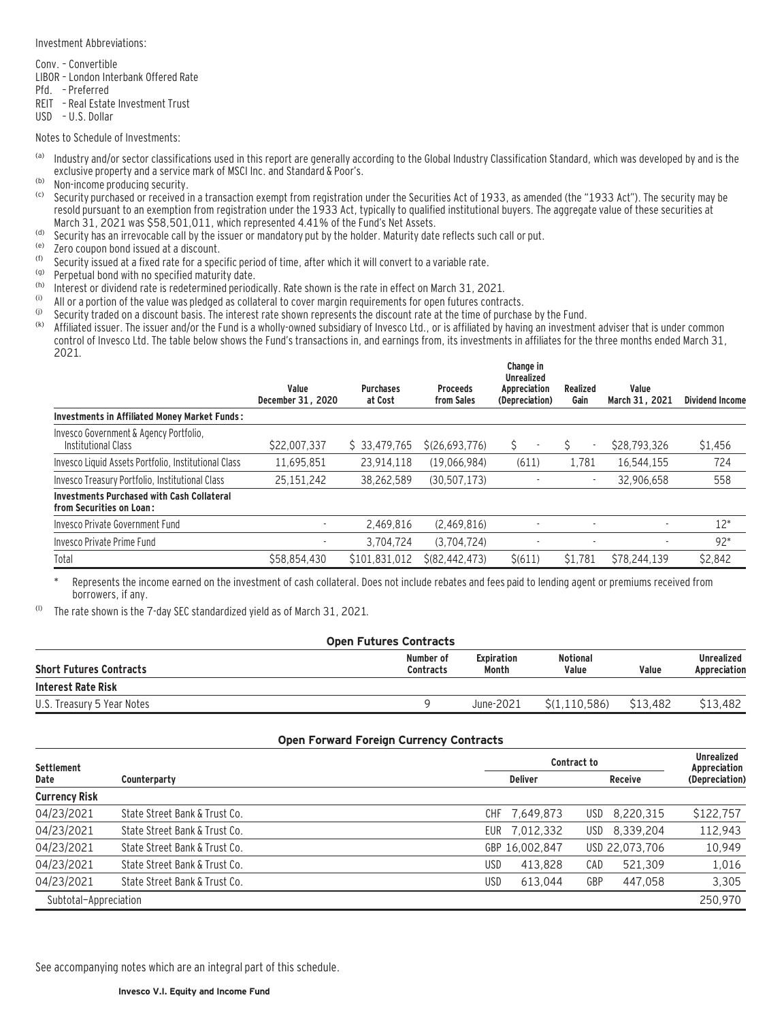#### Investment Abbreviations:

Conv. – Convertible

- LIBOR London Interbank Offered Rate
- Pfd. Preferred
- REIT Real Estate Investment Trust
- USD U.S. Dollar

Notes to Schedule of Investments:

- (a) Industry and/or sector classifications used in this report are generally according to the Global Industry Classification Standard, which was developed by and is the exclusive property and a service mark of MSCI Inc. and Standard & Poor's.
- $\frac{1}{100}$  Non-income producing security.
- Security purchased or received in a transaction exempt from registration under the Securities Act of 1933, as amended (the "1933 Act"). The security may be resold pursuant to an exemption from registration under the 1933 Act, typically to qualified institutional buyers. The aggregate value of these securities at March 31, 2021 was \$58,501,011, which represented 4.41% of the Fund's Net Assets.
- (d) Security has an irrevocable call by the issuer or mandatory put by the holder. Maturity date reflects such call or put.
- $(6)$  Zero coupon bond issued at a discount.
- (f) Security issued at a fixed rate for a specific period of time, after which it will convert to a variable rate.<br>(g) Bernatual bond with no specified maturity date.
- $\binom{(q)}{k}$  Perpetual bond with no specified maturity date.
- (h) Interest or dividend rate is redetermined periodically. Rate shown is the rate in effect on March 31, 2021.<br>(i) All or a portion of the value was pledged as collateral to cover margin requirements for open futures con
- (i) All or a portion of the value was pledged as collateral to cover margin requirements for open futures contracts.<br>(i) Security traded on a discount basis. The interest rate shown represents the discount rate at the tim
- (i) Security traded on a discount basis. The interest rate shown represents the discount rate at the time of purchase by the Fund.<br>(k) Affiliated issues The issues and/or the Fund is a whelly-owned subsidiary of puesse l.
- Affiliated issuer. The issuer and/or the Fund is a wholly-owned subsidiary of Invesco Ltd., or is affiliated by having an investment adviser that is under common control of Invesco Ltd. The table below shows the Fund's transactions in, and earnings from, its investments in affiliates for the three months ended March 31, 2021.

|                                                                               | Value<br>December 31, 2020 | <b>Purchases</b><br>at Cost | <b>Proceeds</b><br>from Sales | Change in<br><b>Unrealized</b><br>Appreciation<br>(Depreciation) | Realized<br>Gain         | Value<br>March 31, 2021  | <b>Dividend Income</b> |
|-------------------------------------------------------------------------------|----------------------------|-----------------------------|-------------------------------|------------------------------------------------------------------|--------------------------|--------------------------|------------------------|
| <b>Investments in Affiliated Money Market Funds:</b>                          |                            |                             |                               |                                                                  |                          |                          |                        |
| Invesco Government & Agency Portfolio.<br>Institutional Class                 | \$22,007,337               | \$ 33,479,765               | S(26.693.776)                 | Ŝ.                                                               | $\overline{\phantom{a}}$ | \$28,793,326             | \$1,456                |
| Invesco Liquid Assets Portfolio, Institutional Class                          | 11,695,851                 | 23,914,118                  | (19,066,984)                  | (611)                                                            | 1.781                    | 16,544,155               | 724                    |
| Invesco Treasury Portfolio, Institutional Class                               | 25.151.242                 | 38.262.589                  | (30.507.173)                  |                                                                  | $\sim$                   | 32.906.658               | 558                    |
| <b>Investments Purchased with Cash Collateral</b><br>from Securities on Loan: |                            |                             |                               |                                                                  |                          |                          |                        |
| Invesco Private Government Fund                                               |                            | 2.469.816                   | (2,469,816)                   |                                                                  |                          | $\overline{\phantom{a}}$ | $12*$                  |
| Invesco Private Prime Fund                                                    |                            | 3.704.724                   | (3.704.724)                   |                                                                  |                          |                          | $92*$                  |
| Total                                                                         | \$58,854,430               | \$101.831.012               | \$ (82.442.473)               | $\frac{$(611)}{2}$                                               | \$1.781                  | \$78,244,139             | \$2,842                |

Represents the income earned on the investment of cash collateral. Does not include rebates and fees paid to lending agent or premiums received from borrowers, if any.

 $(1)$  The rate shown is the 7-day SEC standardized yield as of March 31, 2021.

| <b>Open Futures Contracts</b>  |                               |                            |                          |          |                                   |
|--------------------------------|-------------------------------|----------------------------|--------------------------|----------|-----------------------------------|
| <b>Short Futures Contracts</b> | Number of<br><b>Contracts</b> | <b>Expiration</b><br>Month | <b>Notional</b><br>Value | Value    | <b>Unrealized</b><br>Appreciation |
| Interest Rate Risk             |                               |                            |                          |          |                                   |
| U.S. Treasury 5 Year Notes     |                               | June-2021                  | S(1.110.586)             | \$13.482 | \$13,482                          |

#### **Open Forward Foreign Currency Contracts**

| Settlement            |                               |                    | Contract to             |                                |  |  |
|-----------------------|-------------------------------|--------------------|-------------------------|--------------------------------|--|--|
| Date                  | Counterparty                  | <b>Deliver</b>     | <b>Receive</b>          | Appreciation<br>(Depreciation) |  |  |
| <b>Currency Risk</b>  |                               |                    |                         |                                |  |  |
| 04/23/2021            | State Street Bank & Trust Co. | CHF 7,649,873      | 8.220.315<br><b>USD</b> | \$122,757                      |  |  |
| 04/23/2021            | State Street Bank & Trust Co. | 7,012,332<br>EUR I | 8,339,204<br>USD        | 112,943                        |  |  |
| 04/23/2021            | State Street Bank & Trust Co. | GBP 16.002.847     | USD 22.073.706          | 10,949                         |  |  |
| 04/23/2021            | State Street Bank & Trust Co. | USD<br>413.828     | CAD<br>521.309          | 1,016                          |  |  |
| 04/23/2021            | State Street Bank & Trust Co. | USD<br>613.044     | GBP<br>447.058          | 3,305                          |  |  |
| Subtotal-Appreciation |                               |                    |                         | 250.970                        |  |  |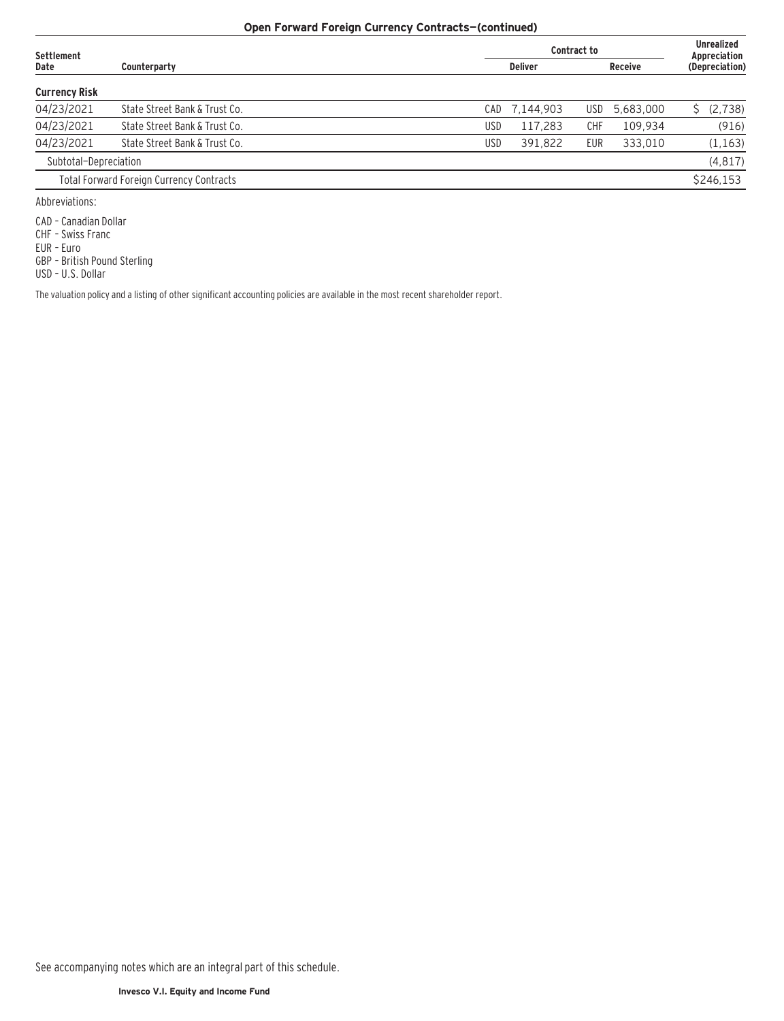# **Open Forward Foreign Currency Contracts—(continued)**

| Settlement            |                                                 | Contract to |                |     |                |                | <b>Unrealized</b><br>Appreciation |  |
|-----------------------|-------------------------------------------------|-------------|----------------|-----|----------------|----------------|-----------------------------------|--|
| Date                  | Counterparty                                    |             | <b>Deliver</b> |     | <b>Receive</b> | (Depreciation) |                                   |  |
| <b>Currency Risk</b>  |                                                 |             |                |     |                |                |                                   |  |
| 04/23/2021            | State Street Bank & Trust Co.                   | CADI        | 7,144,903      | USD | 5,683,000      |                | \$ (2,738)                        |  |
| 04/23/2021            | State Street Bank & Trust Co.                   | <b>USD</b>  | 117.283        | CHF | 109.934        |                | (916)                             |  |
| 04/23/2021            | State Street Bank & Trust Co.                   | <b>USD</b>  | 391.822        | EUR | 333.010        |                | (1, 163)                          |  |
| Subtotal-Depreciation |                                                 |             |                |     |                |                | (4, 817)                          |  |
|                       | <b>Total Forward Foreign Currency Contracts</b> |             |                |     |                |                | \$246,153                         |  |
| Abbraudetianas        |                                                 |             |                |     |                |                |                                   |  |

Abbreviations:

CAD – Canadian Dollar

CHF – Swiss Franc

EUR – Euro

GBP – British Pound Sterling

USD – U.S. Dollar

The valuation policy and a listing of other significant accounting policies are available in the most recent shareholder report.